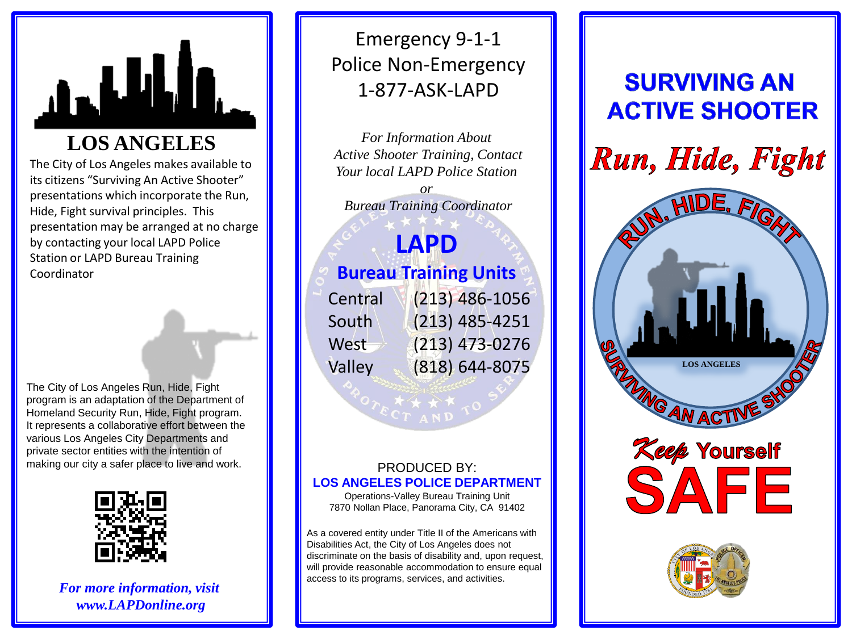

# **LOS ANGELES**

The City of Los Angeles makes available to its citizens "Surviving An Active Shooter" presentations which incorporate the Run, Hide, Fight survival principles. This presentation may be arranged at no charge by contacting your local LAPD Police Station or LAPD Bureau Training Coordinator

The City of Los Angeles Run, Hide, Fight program is an adaptation of the Department of Homeland Security Run, Hide, Fight program. It represents a collaborative effort between the various Los Angeles City Departments and private sector entities with the intention of making our city a safer place to live and work.



*For more information, visit www.LAPDonline.org*

## Emergency 9 - 1 - 1 Police Non -Emergency 1 -877 -ASK -LAPD

*For Information About Active Shooter Training, Contact Your local LAPD Police Station* 

*or Bureau Training Coordinator*

## **LAPD Bureau Training Units** Central (213) 486 -1056 **South**  $West \rightarrow (213) 473-0276$

(213) 485 -4251 Valley (818) 644 -8075

### PRODUCED BY: **LOS ANGELES POLICE DEPARTMENT**

Operations -Valley Bureau Training Unit 7870 Nollan Place, Panorama City, CA 91402

As a covered entity under Title II of the Americans with Disabilities Act, the City of Los Angeles does not discriminate on the basis of disability and, upon request, will provide reasonable accommodation to ensure equal access to its programs, services, and activities.